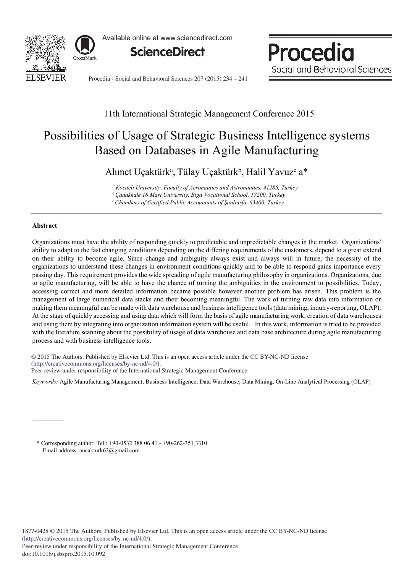

Available online at www.sciencedirect.com



Procedia Social and Behavioral Sciences

Procedia - Social and Behavioral Sciences 207 (2015) 234 - 241

# 11th International Strategic Management Conference 2015

# Possibilities of Usage of Strategic Business Intelligence systems Based on Databases in Agile Manufacturing

Ahmet Uçaktürk<sup>a</sup>, Tülay Uçaktürk<sup>b</sup>, Halil Yavuz<sup>c</sup> a\*

*a Kocaeli University, Faculty of Aeronautics and Astronautics, 41285, Turkey b Çanakkale 18 Mart University, Biga Vocational School, 17200, Turkey c Chambers of Certified Public Accountants of Şanlıurfa, 63400, Turkey*

### **Abstract**

Organizations must have the ability of responding quickly to predictable and unpredictable changes in the market. Organizations' ability to adapt to the fast changing conditions depending on the differing requirements of the customers, depend to a great extend on their ability to become agile. Since change and ambiguity always exist and always will in future, the necessity of the organizations to understand these changes in environment conditions quickly and to be able to respond gains importance every passing day. This requirement provides the wide spreading of agile manufacturing philosophy in organizations. Organizations, due to agile manufacturing, will be able to have the chance of turning the ambiguities in the environment to possibilities. Today, accessing correct and more detailed information became possible however another problem has arisen. This problem is the management of large numerical data stacks and their becoming meaningful. The work of turning raw data into information or making them meaningful can be made with data warehouse and business intelligence tools (data mining, inquiry-reporting, OLAP). At the stage of quickly accessing and using data which will form the basis of agile manufacturing work, creation of data warehouses and using them by integrating into organization information system will be useful. In this work, information is tried to be provided with the literature scanning about the possibility of usage of data warehouse and data base architecture during agile manufacturing process and with business intelligence tools.

© 2015 The Authors. Published by Elsevier Ltd. © 2015 The Authors. Published by Elsevier Ltd. This is an open access article under the CC BY-NC-ND license (http://creativecommons.org/licenses/by-nc-nd/4.0/). Peer-review under responsibility of the International Strategic Management Conference

*Keywords:* Agile Manufacturing Management; Business Intelligence; Data Warehouse; Data Mining; On-Line Analytical Processing (OLAP)

\* Corresponding author. Tel.: +90-0532 388 06 41 - +90-262-351 3310 Email address: aucakturk63@gmail.com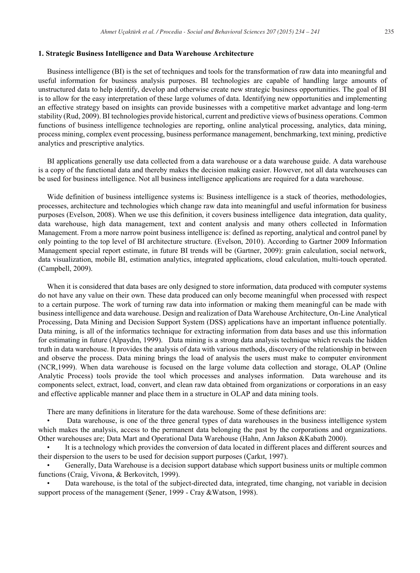# **1. Strategic Business Intelligence and Data Warehouse Architecture**

Business intelligence (BI) is the set of techniques and tools for the transformation of raw data into meaningful and useful information for business analysis purposes. BI technologies are capable of handling large amounts of unstructured data to help identify, develop and otherwise create new strategic business opportunities. The goal of BI is to allow for the easy interpretation of these large volumes of data. Identifying new opportunities and implementing an effective strategy based on insights can provide businesses with a competitive market advantage and long-term stability (Rud, 2009). BI technologies provide historical, current and predictive views of business operations. Common functions of business intelligence technologies are reporting, online analytical processing, analytics, data mining, process mining, complex event processing, business performance management, benchmarking, text mining, predictive analytics and prescriptive analytics.

BI applications generally use data collected from a data warehouse or a data warehouse guide. A data warehouse is a copy of the functional data and thereby makes the decision making easier. However, not all data warehouses can be used for business intelligence. Not all business intelligence applications are required for a data warehouse.

Wide definition of business intelligence systems is: Business intelligence is a stack of theories, methodologies, processes, architecture and technologies which change raw data into meaningful and useful information for business purposes (Evelson, 2008). When we use this definition, it covers business intelligence data integration, data quality, data warehouse, high data management, text and content analysis and many others collected in Information Management. From a more narrow point business intelligence is: defined as reporting, analytical and control panel by only pointing to the top level of BI architecture structure. (Evelson, 2010). According to Gartner 2009 Information Management special report estimate, in future BI trends will be (Gartner, 2009): grain calculation, social network, data visualization, mobile BI, estimation analytics, integrated applications, cloud calculation, multi-touch operated. (Campbell, 2009).

When it is considered that data bases are only designed to store information, data produced with computer systems do not have any value on their own. These data produced can only become meaningful when processed with respect to a certain purpose. The work of turning raw data into information or making them meaningful can be made with business intelligence and data warehouse. Design and realization of Data Warehouse Architecture, On-Line Analytical Processing, Data Mining and Decision Support System (DSS) applications have an important influence potentially. Data mining, is all of the informatics technique for extracting information from data bases and use this information for estimating in future (Alpaydın, 1999). Data mining is a strong data analysis technique which reveals the hidden truth in data warehouse. It provides the analysis of data with various methods, discovery of the relationship in between and observe the process. Data mining brings the load of analysis the users must make to computer environment (NCR,1999). When data warehouse is focused on the large volume data collection and storage, OLAP (Online Analytic Process) tools provide the tool which processes and analyses information. Data warehouse and its components select, extract, load, convert, and clean raw data obtained from organizations or corporations in an easy and effective applicable manner and place them in a structure in OLAP and data mining tools.

There are many definitions in literature for the data warehouse. Some of these definitions are:

• Data warehouse, is one of the three general types of data warehouses in the business intelligence system which makes the analysis, access to the permanent data belonging the past by the corporations and organizations. Other warehouses are; Data Mart and Operational Data Warehouse (Hahn, Ann Jakson &Kabath 2000).

It is a technology which provides the conversion of data located in different places and different sources and their dispersion to the users to be used for decision support purposes (Çarkıt, 1997).

• Generally, Data Warehouse is a decision support database which support business units or multiple common functions (Craig, Vivona, & Berkovitch, 1999).

• Data warehouse, is the total of the subject-directed data, integrated, time changing, not variable in decision support process of the management (Şener, 1999 - Cray & Watson, 1998).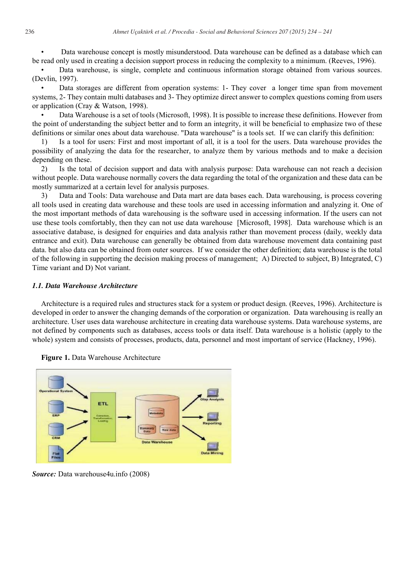• Data warehouse concept is mostly misunderstood. Data warehouse can be defined as a database which can be read only used in creating a decision support process in reducing the complexity to a minimum. (Reeves, 1996).

• Data warehouse, is single, complete and continuous information storage obtained from various sources. (Devlin, 1997).

• Data storages are different from operation systems: 1- They cover a longer time span from movement systems, 2- They contain multi databases and 3- They optimize direct answer to complex questions coming from users or application (Cray & Watson, 1998).

• Data Warehouse is a set of tools (Microsoft, 1998). It is possible to increase these definitions. However from the point of understanding the subject better and to form an integrity, it will be beneficial to emphasize two of these definitions or similar ones about data warehouse. "Data warehouse" is a tools set. If we can clarify this definition:

1) Is a tool for users: First and most important of all, it is a tool for the users. Data warehouse provides the possibility of analyzing the data for the researcher, to analyze them by various methods and to make a decision depending on these.

2) Is the total of decision support and data with analysis purpose: Data warehouse can not reach a decision without people. Data warehouse normally covers the data regarding the total of the organization and these data can be mostly summarized at a certain level for analysis purposes.

3) Data and Tools: Data warehouse and Data mart are data bases each. Data warehousing, is process covering all tools used in creating data warehouse and these tools are used in accessing information and analyzing it. One of the most important methods of data warehousing is the software used in accessing information. If the users can not use these tools comfortably, then they can not use data warehouse [Microsoft, 1998]. Data warehouse which is an associative database, is designed for enquiries and data analysis rather than movement process (daily, weekly data entrance and exit). Data warehouse can generally be obtained from data warehouse movement data containing past data. but also data can be obtained from outer sources. If we consider the other definition; data warehouse is the total of the following in supporting the decision making process of management; A) Directed to subject, B) Integrated, C) Time variant and D) Not variant.

# *1.1. Data Warehouse Architecture*

Architecture is a required rules and structures stack for a system or product design. (Reeves, 1996). Architecture is developed in order to answer the changing demands of the corporation or organization. Data warehousing is really an architecture. User uses data warehouse architecture in creating data warehouse systems. Data warehouse systems, are not defined by components such as databases, access tools or data itself. Data warehouse is a holistic (apply to the whole) system and consists of processes, products, data, personnel and most important of service (Hackney, 1996).





*Source:* Data warehouse4u.info (2008)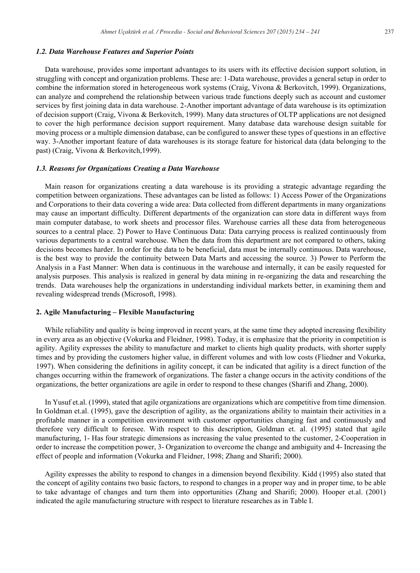#### *1.2. Data Warehouse Features and Superior Points*

Data warehouse, provides some important advantages to its users with its effective decision support solution, in struggling with concept and organization problems. These are: 1-Data warehouse, provides a general setup in order to combine the information stored in heterogeneous work systems (Craig, Vivona & Berkovitch, 1999). Organizations, can analyze and comprehend the relationship between various trade functions deeply such as account and customer services by first joining data in data warehouse. 2-Another important advantage of data warehouse is its optimization of decision support (Craig, Vivona & Berkovitch, 1999). Many data structures of OLTP applications are not designed to cover the high performance decision support requirement. Many database data warehouse design suitable for moving process or a multiple dimension database, can be configured to answer these types of questions in an effective way. 3-Another important feature of data warehouses is its storage feature for historical data (data belonging to the past) (Craig, Vivona & Berkovitch,1999).

# *1.3. Reasons for Organizations Creating a Data Warehouse*

Main reason for organizations creating a data warehouse is its providing a strategic advantage regarding the competition between organizations. These advantages can be listed as follows: 1) Access Power of the Organizations and Corporations to their data covering a wide area: Data collected from different departments in many organizations may cause an important difficulty. Different departments of the organization can store data in different ways from main computer database, to work sheets and processor files. Warehouse carries all these data from heterogeneous sources to a central place. 2) Power to Have Continuous Data: Data carrying process is realized continuously from various departments to a central warehouse. When the data from this department are not compared to others, taking decisions becomes harder. In order for the data to be beneficial, data must be internally continuous. Data warehouse, is the best way to provide the continuity between Data Marts and accessing the source. 3) Power to Perform the Analysis in a Fast Manner: When data is continuous in the warehouse and internally, it can be easily requested for analysis purposes. This analysis is realized in general by data mining in re-organizing the data and researching the trends. Data warehouses help the organizations in understanding individual markets better, in examining them and revealing widespread trends (Microsoft, 1998).

#### **2. Agile Manufacturing – Flexible Manufacturing**

While reliability and quality is being improved in recent years, at the same time they adopted increasing flexibility in every area as an objective (Vokurka and Fleidner, 1998). Today, it is emphasize that the priority in competition is agility. Agility expresses the ability to manufacture and market to clients high quality products, with shorter supply times and by providing the customers higher value, in different volumes and with low costs (Fliedner and Vokurka, 1997). When considering the definitions in agility concept, it can be indicated that agility is a direct function of the changes occurring within the framework of organizations. The faster a change occurs in the activity conditions of the organizations, the better organizations are agile in order to respond to these changes (Sharifi and Zhang, 2000).

In Yusuf et.al. (1999), stated that agile organizations are organizations which are competitive from time dimension. In Goldman et.al. (1995), gave the description of agility, as the organizations ability to maintain their activities in a profitable manner in a competition environment with customer opportunities changing fast and continuously and therefore very difficult to foresee. With respect to this description, Goldman et. al. (1995) stated that agile manufacturing, 1- Has four strategic dimensions as increasing the value presented to the customer, 2-Cooperation in order to increase the competition power, 3- Organization to overcome the change and ambiguity and 4- Increasing the effect of people and information (Vokurka and Fleidner, 1998; Zhang and Sharifi; 2000).

Agility expresses the ability to respond to changes in a dimension beyond flexibility. Kidd (1995) also stated that the concept of agility contains two basic factors, to respond to changes in a proper way and in proper time, to be able to take advantage of changes and turn them into opportunities (Zhang and Sharifi; 2000). Hooper et.al. (2001) indicated the agile manufacturing structure with respect to literature researches as in Table I.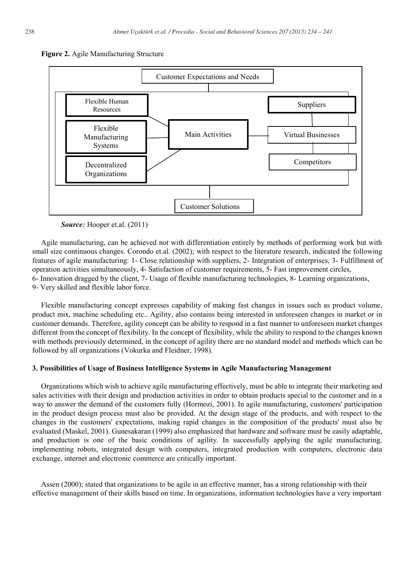



*Source:* Hooper et.al. (2011)

Agile manufacturing, can be achieved not with differentiation entirely by methods of performing work but with small size continuous changes. Corondo et.al. (2002); with respect to the literature research, indicated the following features of agile manufacturing: 1- Close relationship with suppliers, 2- Integration of enterprises, 3- Fulfillment of operation activities simultaneously, 4- Satisfaction of customer requirements, 5- Fast improvement circles, 6- Innovation dragged by the client, 7- Usage of flexible manufacturing technologies, 8- Learning organizations, 9- Very skilled and flexible labor force.

Flexible manufacturing concept expresses capability of making fast changes in issues such as product volume, product mix, machine scheduling etc.. Agility, also contains being interested in unforeseen changes in market or in customer demands. Therefore, agility concept can be ability to respond in a fast manner to unforeseen market changes different from the concept of flexibility. In the concept of flexibility, while the ability to respond to the changes known with methods previously determined, in the concept of agility there are no standard model and methods which can be followed by all organizations (Vokurka and Fleidner, 1998).

# **3. Possibilities of Usage of Business Intelligence Systems in Agile Manufacturing Management**

Organizations which wish to achieve agile manufacturing effectively, must be able to integrate their marketing and sales activities with their design and production activities in order to obtain products special to the customer and in a way to answer the demand of the customers fully (Hormozi, 2001). In agile manufacturing, customers' participation in the product design process must also be provided. At the design stage of the products, and with respect to the changes in the customers' expectations, making rapid changes in the composition of the products' must also be evaluated (Maskel, 2001). Gunesakaran (1999) also emphasized that hardware and software must be easily adaptable, and production is one of the basic conditions of agility. In successfully applying the agile manufacturing, implementing robots, integrated design with computers, integrated production with computers, electronic data exchange, internet and electronic commerce are critically important.

Assen (2000); stated that organizations to be agile in an effective manner, has a strong relationship with their effective management of their skills based on time. In organizations, information technologies have a very important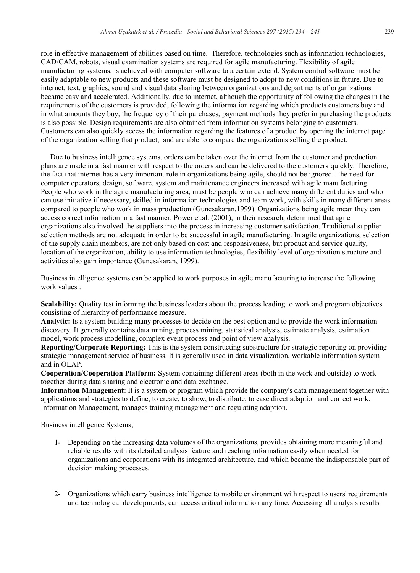role in effective management of abilities based on time. Therefore, technologies such as information technologies, CAD/CAM, robots, visual examination systems are required for agile manufacturing. Flexibility of agile manufacturing systems, is achieved with computer software to a certain extend. System control software must be easily adaptable to new products and these software must be designed to adopt to new conditions in future. Due to internet, text, graphics, sound and visual data sharing between organizations and departments of organizations became easy and accelerated. Additionally, due to internet, although the opportunity of following the changes in the requirements of the customers is provided, following the information regarding which products customers buy and in what amounts they buy, the frequency of their purchases, payment methods they prefer in purchasing the products is also possible. Design requirements are also obtained from information systems belonging to customers. Customers can also quickly access the information regarding the features of a product by opening the internet page of the organization selling that product, and are able to compare the organizations selling the product.

 Due to business intelligence systems, orders can be taken over the internet from the customer and production plans are made in a fast manner with respect to the orders and can be delivered to the customers quickly. Therefore, the fact that internet has a very important role in organizations being agile, should not be ignored. The need for computer operators, design, software, system and maintenance engineers increased with agile manufacturing. People who work in the agile manufacturing area, must be people who can achieve many different duties and who can use initiative if necessary, skilled in information technologies and team work, with skills in many different areas compared to people who work in mass production (Gunesakaran,1999). Organizations being agile mean they can access correct information in a fast manner. Power et.al. (2001), in their research, determined that agile organizations also involved the suppliers into the process in increasing customer satisfaction. Traditional supplier selection methods are not adequate in order to be successful in agile manufacturing. In agile organizations, selection of the supply chain members, are not only based on cost and responsiveness, but product and service quality, location of the organization, ability to use information technologies, flexibility level of organization structure and activities also gain importance (Gunesakaran, 1999).

Business intelligence systems can be applied to work purposes in agile manufacturing to increase the following work values :

**Scalability:** Quality test informing the business leaders about the process leading to work and program objectives consisting of hierarchy of performance measure.

**Analytic:** Is a system building many processes to decide on the best option and to provide the work information discovery. It generally contains data mining, process mining, statistical analysis, estimate analysis, estimation model, work process modelling, complex event process and point of view analysis.

**Reporting/Corporate Reporting:** This is the system constructing substructure for strategic reporting on providing strategic management service of business. It is generally used in data visualization, workable information system and in OLAP.

**Cooperation/Cooperation Platform:** System containing different areas (both in the work and outside) to work together during data sharing and electronic and data exchange.

**Information Management**: It is a system or program which provide the company's data management together with applications and strategies to define, to create, to show, to distribute, to ease direct adaption and correct work. Information Management, manages training management and regulating adaption.

Business intelligence Systems;

- 1- Depending on the increasing data volumes of the organizations, provides obtaining more meaningful and reliable results with its detailed analysis feature and reaching information easily when needed for organizations and corporations with its integrated architecture, and which became the indispensable part of decision making processes.
- 2- Organizations which carry business intelligence to mobile environment with respect to users' requirements and technological developments, can access critical information any time. Accessing all analysis results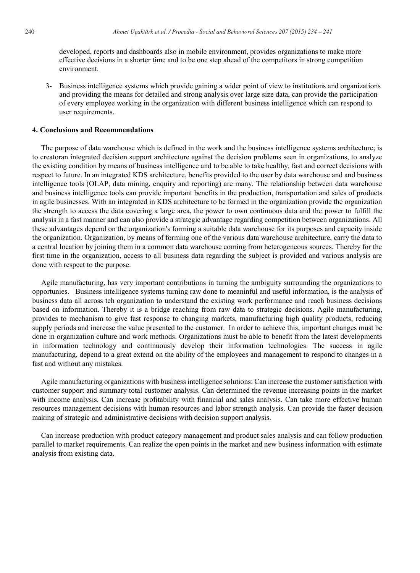developed, reports and dashboards also in mobile environment, provides organizations to make more effective decisions in a shorter time and to be one step ahead of the competitors in strong competition environment.

3- Business intelligence systems which provide gaining a wider point of view to institutions and organizations and providing the means for detailed and strong analysis over large size data, can provide the participation of every employee working in the organization with different business intelligence which can respond to user requirements.

# **4. Conclusions and Recommendations**

The purpose of data warehouse which is defined in the work and the business intelligence systems architecture; is to creatoran integrated decision support architecture against the decision problems seen in organizations, to analyze the existing condition by means of business intelligence and to be able to take healthy, fast and correct decisions with respect to future. In an integrated KDS architecture, benefits provided to the user by data warehouse and and business intelligence tools (OLAP, data mining, enquiry and reporting) are many. The relationship between data warehouse and business intelligence tools can provide important benefits in the production, transportation and sales of products in agile businesses. With an integrated in KDS architecture to be formed in the organization provide the organization the strength to access the data covering a large area, the power to own continuous data and the power to fulfill the analysis in a fast manner and can also provide a strategic advantage regarding competition between organizations. All these advantages depend on the organization's forming a suitable data warehouse for its purposes and capacity inside the organization. Organization, by means of forming one of the various data warehouse architecture, carry the data to a central location by joining them in a common data warehouse coming from heterogeneous sources. Thereby for the first time in the organization, access to all business data regarding the subject is provided and various analysis are done with respect to the purpose.

Agile manufacturing, has very important contributions in turning the ambiguity surrounding the organizations to opportunies. Business intelligence systems turning raw done to meaninful and useful information, is the analysis of business data all across teh organization to understand the existing work performance and reach business decisions based on information. Thereby it is a bridge reaching from raw data to strategic decisions. Agile manufacturing, provides to mechanism to give fast response to changing markets, manufacturing high quality products, reducing supply periods and increase the value presented to the customer. In order to achieve this, important changes must be done in organization culture and work methods. Organizations must be able to benefit from the latest developments in information technology and continuously develop their information technologies. The success in agile manufacturing, depend to a great extend on the ability of the employees and management to respond to changes in a fast and without any mistakes.

Agile manufacturing organizations with business intelligence solutions: Can increase the customer satisfaction with customer support and summary total customer analysis. Can determined the revenue increasing points in the market with income analysis. Can increase profitability with financial and sales analysis. Can take more effective human resources management decisions with human resources and labor strength analysis. Can provide the faster decision making of strategic and administrative decisions with decision support analysis.

Can increase production with product category management and product sales analysis and can follow production parallel to market requirements. Can realize the open points in the market and new business information with estimate analysis from existing data.